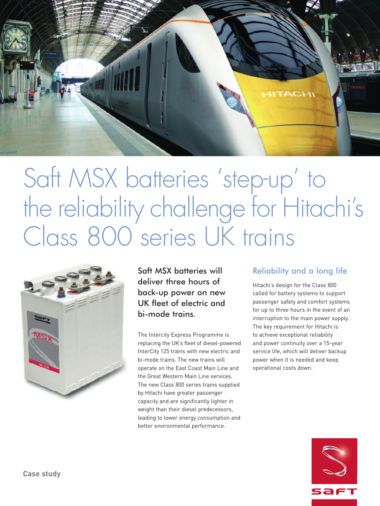

# Saft MSX batteries ' step-up ' to the reliability challenge for Hitachi' s Class 800 series UK trains



Saft MSX batteries will deliver three hours of back-up power on new UK fleet of electric and bi-mode trains.

The Intercity Express Programme is replacing the UK's fleet of diesel-powered InterCity 125 trains with new electric and bi-mode trains. The new trains will operate on the East Coast Main Line and the Great Western Main Line services. The new Class 800 series trains supplied by Hitachi have greater passenger capacity and are significantly lighter in weight than their diesel predecessors, leading to lower energy consumption and better environmental performance.

# Reliability and a long life

Hitachi's design for the Class 800 called for battery systems to support passenger safety and comfort systems for up to three hours in the event of an interruption to the main power supply. The key requirement for Hitachi is to achieve exceptional reliability and power continuity over a 15-year service life, which will deliver backup power when it is needed and keep operational costs down.